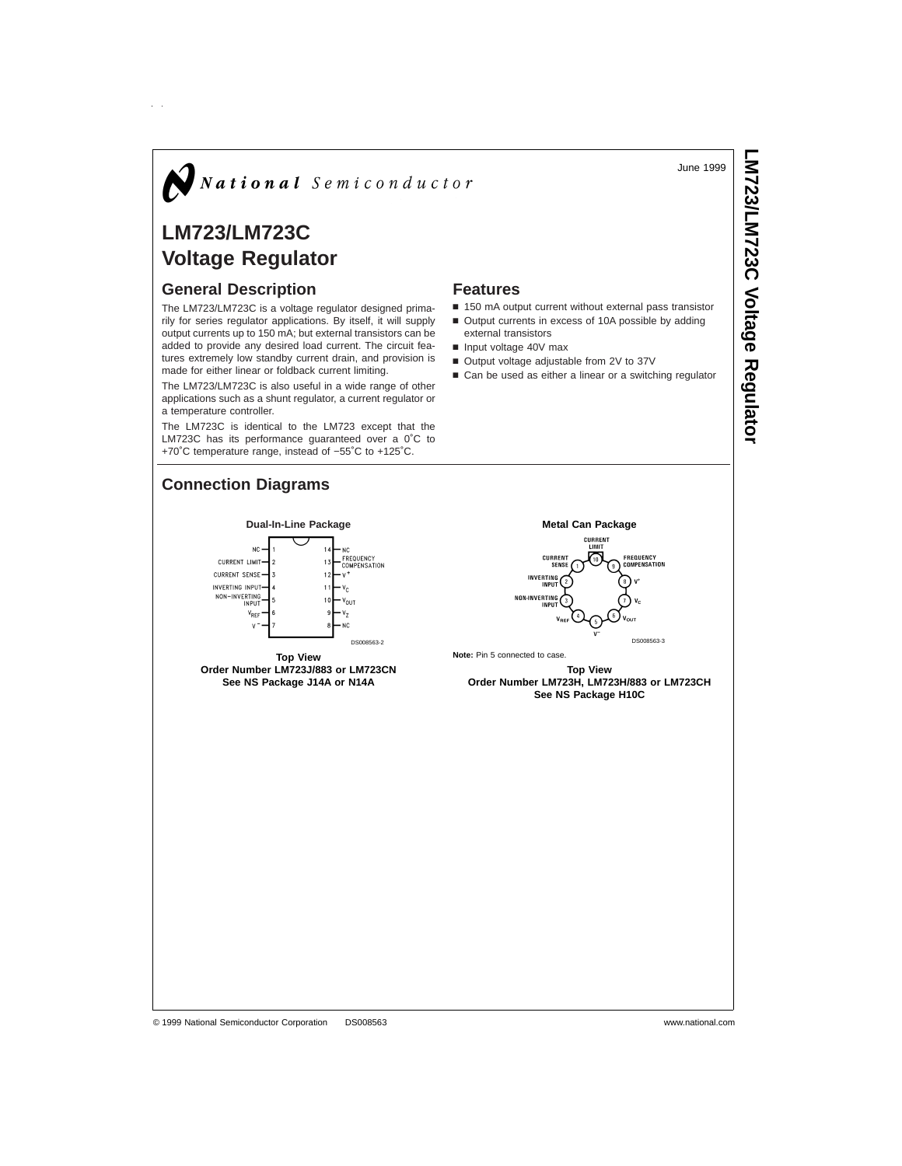#### June 1999

# $\bigotimes$  National Semiconductor

## **LM723/LM723C Voltage Regulator**

## **General Description**

The LM723/LM723C is a voltage regulator designed primarily for series regulator applications. By itself, it will supply output currents up to 150 mA; but external transistors can be added to provide any desired load current. The circuit features extremely low standby current drain, and provision is made for either linear or foldback current limiting.

The LM723/LM723C is also useful in a wide range of other applications such as a shunt regulator, a current regulator or a temperature controller.

The LM723C is identical to the LM723 except that the LM723C has its performance guaranteed over a 0˚C to +70˚C temperature range, instead of −55˚C to +125˚C.

## **Connection Diagrams**

#### **Features**

- 150 mA output current without external pass transistor
- Output currents in excess of 10A possible by adding
- external transistors
- $\blacksquare$  Input voltage 40V max
- Output voltage adjustable from 2V to 37V ■ Can be used as either a linear or a switching regulator
- 

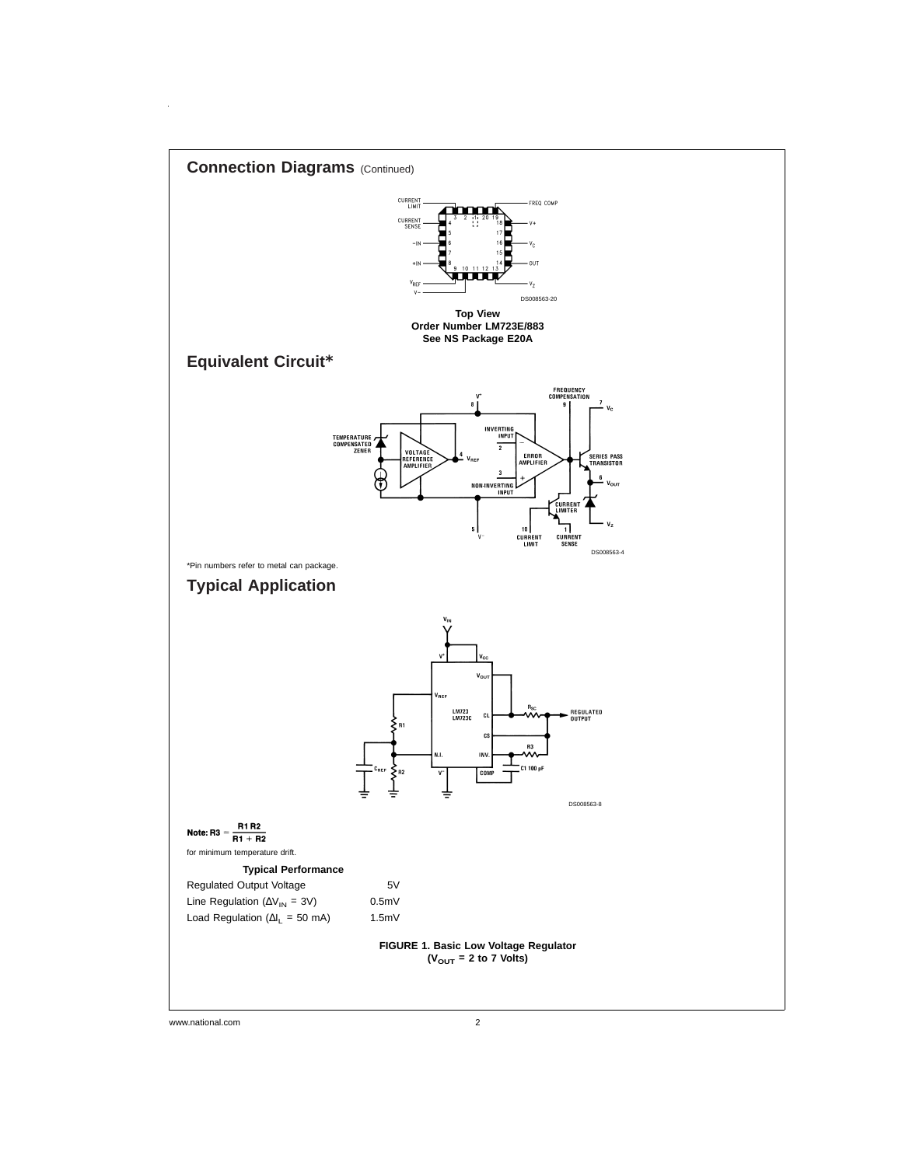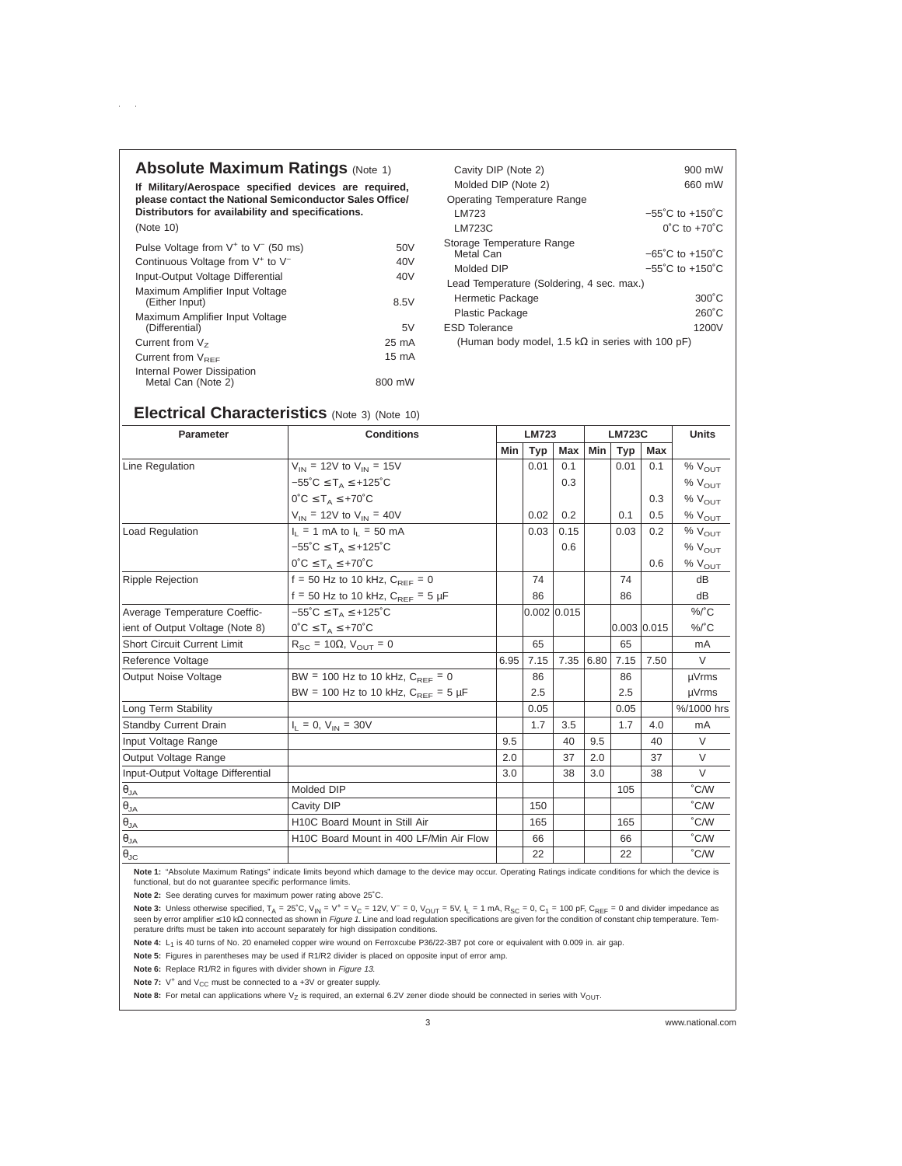### **Absolute Maximum Ratings (Note 1)**

 $\alpha=1$ 

**If Military/Aerospace specified devices are required, please contact the National Semiconductor Sales Office/ Distributors for availability and specifications.** (Note 10)

| Pulse Voltage from $V^+$ to $V^-$ (50 ms)                | 50V             |  |  |  |
|----------------------------------------------------------|-----------------|--|--|--|
| Continuous Voltage from V <sup>+</sup> to V <sup>-</sup> | 40V             |  |  |  |
| Input-Output Voltage Differential                        | 40 <sub>V</sub> |  |  |  |
| Maximum Amplifier Input Voltage<br>(Either Input)        | 8.5V            |  |  |  |
| Maximum Amplifier Input Voltage<br>(Differential)        | 5V              |  |  |  |
| Current from $Vz$                                        | $25 \text{ mA}$ |  |  |  |
| Current from $V_{\text{per}}$                            | 15 mA           |  |  |  |
| Internal Power Dissipation<br>Metal Can (Note 2)         | 800 mW          |  |  |  |

| Cavity DIP (Note 2)                                      | 900 mW                              |  |  |  |  |  |  |  |
|----------------------------------------------------------|-------------------------------------|--|--|--|--|--|--|--|
| Molded DIP (Note 2)                                      | 660 mW                              |  |  |  |  |  |  |  |
| <b>Operating Temperature Range</b>                       |                                     |  |  |  |  |  |  |  |
| LM723                                                    | $-55^{\circ}$ C to $+150^{\circ}$ C |  |  |  |  |  |  |  |
| <b>LM723C</b>                                            | $0^{\circ}$ C to $+70^{\circ}$ C    |  |  |  |  |  |  |  |
| Storage Temperature Range<br>Metal Can                   | $-65^{\circ}$ C to $+150^{\circ}$ C |  |  |  |  |  |  |  |
| Molded DIP                                               | $-55^{\circ}$ C to $+150^{\circ}$ C |  |  |  |  |  |  |  |
| Lead Temperature (Soldering, 4 sec. max.)                |                                     |  |  |  |  |  |  |  |
| Hermetic Package                                         | $300^{\circ}$ C                     |  |  |  |  |  |  |  |
| <b>Plastic Package</b>                                   | $260^{\circ}$ C                     |  |  |  |  |  |  |  |
| <b>ESD Tolerance</b>                                     | 1200V                               |  |  |  |  |  |  |  |
| (Human body model, 1.5 k $\Omega$ in series with 100 pF) |                                     |  |  |  |  |  |  |  |

## **Electrical Characteristics** (Note 3) (Note 10)

| <b>Parameter</b>                   | <b>Conditions</b>                                              | <b>LM723</b> |                 |           |     | <b>LM723C</b>   | <b>Units</b> |                    |
|------------------------------------|----------------------------------------------------------------|--------------|-----------------|-----------|-----|-----------------|--------------|--------------------|
|                                    |                                                                | Min          | <b>Typ</b>      | Max       |     | Min<br>Typ      |              |                    |
| Line Regulation                    | $V_{IN}$ = 12V to $V_{IN}$ = 15V                               |              | 0.01            | 0.1       |     | 0.01            | 0.1          | $%$ $V_{OUT}$      |
|                                    | $-55^{\circ}$ C $\leq$ T <sub>A</sub> $\leq$ +125 $^{\circ}$ C |              |                 | 0.3       |     |                 |              | $%$ $V_{OUT}$      |
|                                    | $0^{\circ}C \leq T_A \leq +70^{\circ}C$                        |              |                 |           |     |                 | 0.3          | $%V_{OIIT}$        |
|                                    | $V_{IN}$ = 12V to $V_{IN}$ = 40V                               |              | 0.02            | 0.2       |     | 0.1             | 0.5          | $%$ $V_{OUT}$      |
| <b>Load Regulation</b>             | $I_1 = 1$ mA to $I_1 = 50$ mA                                  |              | 0.03            | 0.15      |     | 0.03            | 0.2          | $%V_{OUT}$         |
|                                    | $-55^{\circ}$ C $\leq$ T <sub>A</sub> $\leq$ +125 $^{\circ}$ C |              |                 | 0.6       |     |                 |              | % V <sub>OUT</sub> |
|                                    | $0^{\circ}C \leq T_A \leq +70^{\circ}C$                        |              |                 |           |     |                 | 0.6          | $%$ $V_{OUT}$      |
| <b>Ripple Rejection</b>            | $f = 50$ Hz to 10 kHz, $C_{DEF} = 0$                           |              | 74              |           |     | 74              |              | dB                 |
|                                    | f = 50 Hz to 10 kHz, $C_{BFE}$ = 5 µF                          |              | 86              |           |     | 86              |              | dB                 |
| Average Temperature Coeffic-       | $-55^{\circ}$ C $\leq$ T <sub>A</sub> $\leq$ +125 $^{\circ}$ C |              | $0.002$ $0.015$ |           |     |                 |              | $\frac{9}{6}$ C    |
| ient of Output Voltage (Note 8)    | $0^{\circ}C \leq T_A \leq +70^{\circ}C$                        |              |                 |           |     | $0.003$ $0.015$ |              | $\frac{9}{6}$ C    |
| <b>Short Circuit Current Limit</b> | $R_{SC}$ = 10 $\Omega$ , $V_{OUT}$ = 0                         |              | 65              |           |     | 65              |              | mA                 |
| Reference Voltage                  |                                                                | 6.95         | 7.15            | 7.35 6.80 |     | 7.15            | 7.50         | V                  |
| <b>Output Noise Voltage</b>        | BW = 100 Hz to 10 kHz, $C_{BEF} = 0$                           |              | 86              |           |     | 86              |              | µVrms              |
|                                    | BW = 100 Hz to 10 kHz, $C_{BFE}$ = 5 µF                        |              | 2.5             |           |     | 2.5             |              | µVrms              |
| Long Term Stability                |                                                                |              | 0.05            |           |     | 0.05            |              | %/1000 hrs         |
| <b>Standby Current Drain</b>       | $I_1 = 0$ , $V_{IN} = 30V$                                     |              | 1.7             | 3.5       |     | 1.7             | 4.0          | mA                 |
| Input Voltage Range                |                                                                | 9.5          |                 | 40        | 9.5 |                 | 40           | V                  |
| Output Voltage Range               |                                                                | 2.0          |                 | 37        | 2.0 |                 | 37           | $\vee$             |
| Input-Output Voltage Differential  |                                                                | 3.0          |                 | 38        | 3.0 |                 | 38           | V                  |
| $\theta_{JA}$                      | Molded DIP                                                     |              |                 |           |     | 105             |              | $\degree$ C/W      |
| $\theta_{JA}$                      | Cavity DIP                                                     |              | 150             |           |     |                 |              | °C/W               |
| $\theta_{JA}$                      | H10C Board Mount in Still Air                                  |              | 165             |           |     | 165             |              | °C/W               |
| $\theta_{\mathsf{JA}}$             | H10C Board Mount in 400 LF/Min Air Flow                        |              | 66              |           |     | 66              |              | $\degree$ C/W      |
| $\theta_{\text{JC}}$               |                                                                |              | 22              |           |     | 22              |              | °C/W               |

**Note 1:** "Absolute Maximum Ratings" indicate limits beyond which damage to the device may occur. Operating Ratings indicate conditions for which the device is functional, but do not guarantee specific performance limits.

**Note 2:** See derating curves for maximum power rating above 25˚C.

Note 3: Unless otherwise specified, T<sub>A</sub> = 25˚C, V<sub>IN</sub> = V<sup>+</sup> = V<sub>C</sub> = 12V, V<sup>-</sup> = 0, V<sub>OUT</sub> = 5V, I<sub>L</sub> = 1 mA, R<sub>SC</sub> = 0, C<sub>1</sub> = 100 pF, C<sub>REF</sub> = 0 and divider impedance as seen by error amplifier ≤ 10 kΩ connected as shown in *Figure 1*. Line and load regulation specifications are given for the condition of constant chip temperature. Tem-<br>perature drifts must be taken into account separatel

Note 4: L<sub>1</sub> is 40 turns of No. 20 enameled copper wire wound on Ferroxcube P36/22-3B7 pot core or equivalent with 0.009 in. air gap.

**Note 5:** Figures in parentheses may be used if R1/R2 divider is placed on opposite input of error amp.

**Note 6:** Replace R1/R2 in figures with divider shown in Figure 13.

**Note 7:** V<sup>+</sup> and V<sub>CC</sub> must be connected to a +3V or greater supply.

Note 8: For metal can applications where V<sub>Z</sub> is required, an external 6.2V zener diode should be connected in series with V<sub>OUT</sub>.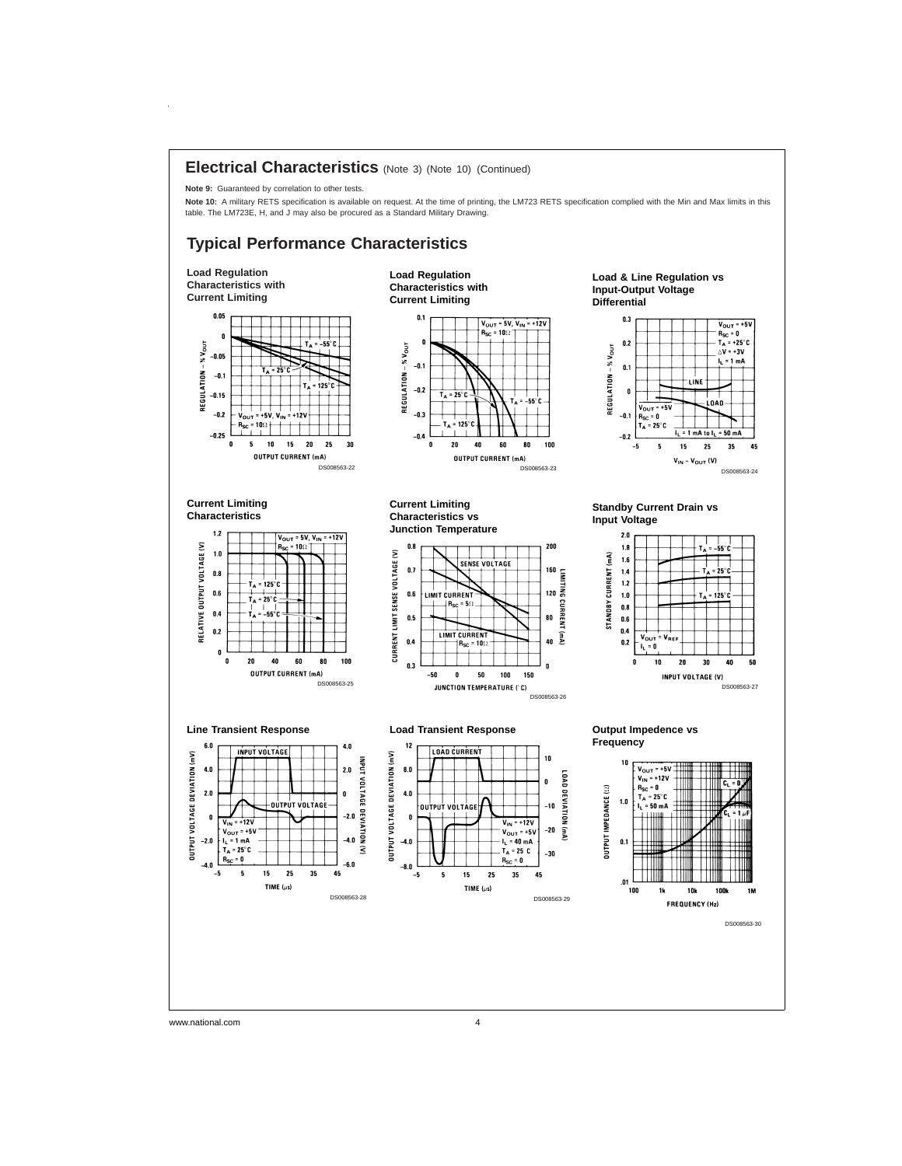

www.national.com 4

 $\bar{z}$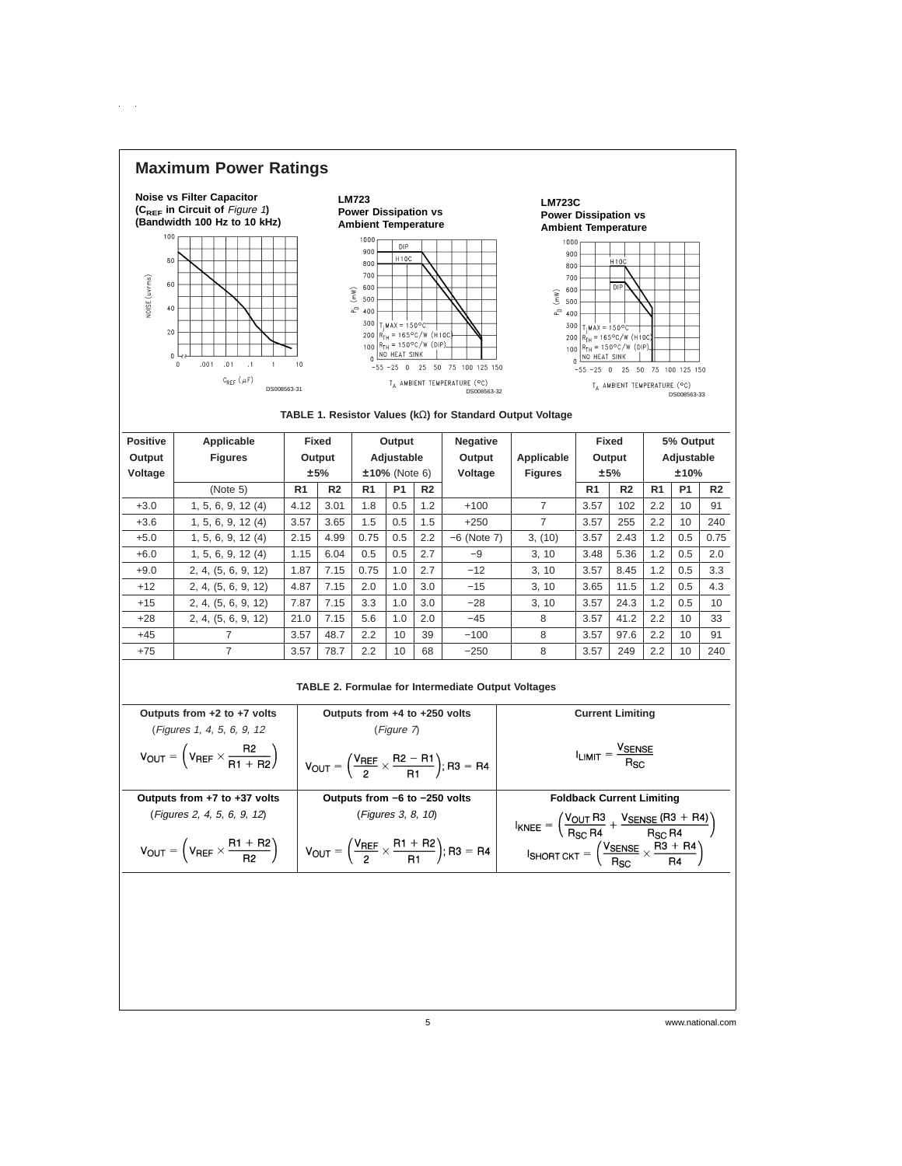## **Maximum Power Ratings**

 $\mathcal{L}^{\text{max}}$ 





| <b>Positive</b> | Applicable          |                | Fixed          | Output           |           | <b>Negative</b> |                | Fixed          |                | 5% Output      |                |                |                |
|-----------------|---------------------|----------------|----------------|------------------|-----------|-----------------|----------------|----------------|----------------|----------------|----------------|----------------|----------------|
| Output          | <b>Figures</b>      |                | Output         | Adjustable       |           | Output          | Applicable     | Output         |                | Adjustable     |                |                |                |
| Voltage         |                     |                | ±5%            | $±10\%$ (Note 6) |           | Voltage         | <b>Figures</b> | ±5%            |                | ±10%           |                |                |                |
|                 | (Note 5)            | R <sub>1</sub> | R <sub>2</sub> | R <sub>1</sub>   | <b>P1</b> | R <sub>2</sub>  |                |                | R <sub>1</sub> | R <sub>2</sub> | R <sub>1</sub> | P <sub>1</sub> | R <sub>2</sub> |
| $+3.0$          | 1, 5, 6, 9, 12(4)   | 4.12           | 3.01           | 1.8              | 0.5       | 1.2             | $+100$         | $\overline{7}$ | 3.57           | 102            | 2.2            | 10             | 91             |
| $+3.6$          | 1, 5, 6, 9, 12 (4)  | 3.57           | 3.65           | 1.5              | 0.5       | 1.5             | $+250$         | 7              | 3.57           | 255            | 2.2            | 10             | 240            |
| $+5.0$          | 1, 5, 6, 9, 12(4)   | 2.15           | 4.99           | 0.75             | 0.5       | 2.2             | $-6$ (Note 7)  | 3, (10)        | 3.57           | 2.43           | 1.2            | 0.5            | 0.75           |
| $+6.0$          | 1, 5, 6, 9, 12(4)   | 1.15           | 6.04           | 0.5              | 0.5       | 2.7             | $-9$           | 3, 10          | 3.48           | 5.36           | 1.2            | 0.5            | 2.0            |
| $+9.0$          | 2, 4, (5, 6, 9, 12) | 1.87           | 7.15           | 0.75             | 1.0       | 2.7             | $-12$          | 3.10           | 3.57           | 8.45           | 1.2            | 0.5            | 3.3            |
| $+12$           | 2, 4, (5, 6, 9, 12) | 4.87           | 7.15           | 2.0              | 1.0       | 3.0             | $-15$          | 3.10           | 3.65           | 11.5           | 1.2            | 0.5            | 4.3            |
| $+15$           | 2, 4, (5, 6, 9, 12) | 7.87           | 7.15           | 3.3              | 1.0       | 3.0             | $-28$          | 3, 10          | 3.57           | 24.3           | 1.2            | 0.5            | 10             |
| $+28$           | 2, 4, (5, 6, 9, 12) | 21.0           | 7.15           | 5.6              | 1.0       | 2.0             | $-45$          | 8              | 3.57           | 41.2           | 2.2            | 10             | 33             |
| $+45$           | 7                   | 3.57           | 48.7           | 2.2              | 10        | 39              | $-100$         | 8              | 3.57           | 97.6           | 2.2            | 10             | 91             |
| $+75$           | 7                   | 3.57           | 78.7           | 2.2              | 10        | 68              | $-250$         | 8              | 3.57           | 249            | 2.2            | 10             | 240            |

#### **TABLE 2. Formulae for Intermediate Output Voltages**

| Outputs from +4 to +250 volts                                                 | <b>Current Limiting</b>                                                                                                           |  |  |  |  |  |  |
|-------------------------------------------------------------------------------|-----------------------------------------------------------------------------------------------------------------------------------|--|--|--|--|--|--|
| (Figure 7)                                                                    |                                                                                                                                   |  |  |  |  |  |  |
| $V_{OUT} = \left(\frac{V_{REF}}{2} \times \frac{R2 - R1}{R1}\right); R3 = R4$ | $I_{LIMIT} = \frac{V_{SENSE}}{R_{SC}}$                                                                                            |  |  |  |  |  |  |
| Outputs from -6 to -250 volts                                                 | <b>Foldback Current Limiting</b>                                                                                                  |  |  |  |  |  |  |
| (Figures 3, 8, 10)                                                            | $I_{\text{KNEE}} = \left(\frac{V_{\text{OUT}} R3}{R_{\text{SC}} R4} + \frac{V_{\text{SENSE}} (R3 + R4)}{R_{\text{SC}} R4}\right)$ |  |  |  |  |  |  |
| $V_{OUT} = \left(\frac{V_{REF}}{2} \times \frac{R1 + R2}{R1}\right); R3 = R4$ | <b>ISHORT CKT</b> = $\left(\frac{\text{V}_{\text{SENSE}}}{\text{Rsc}} \times \frac{\text{R3 + R4}}{\text{R4}}\right)$             |  |  |  |  |  |  |
|                                                                               |                                                                                                                                   |  |  |  |  |  |  |
|                                                                               |                                                                                                                                   |  |  |  |  |  |  |

5 www.national.com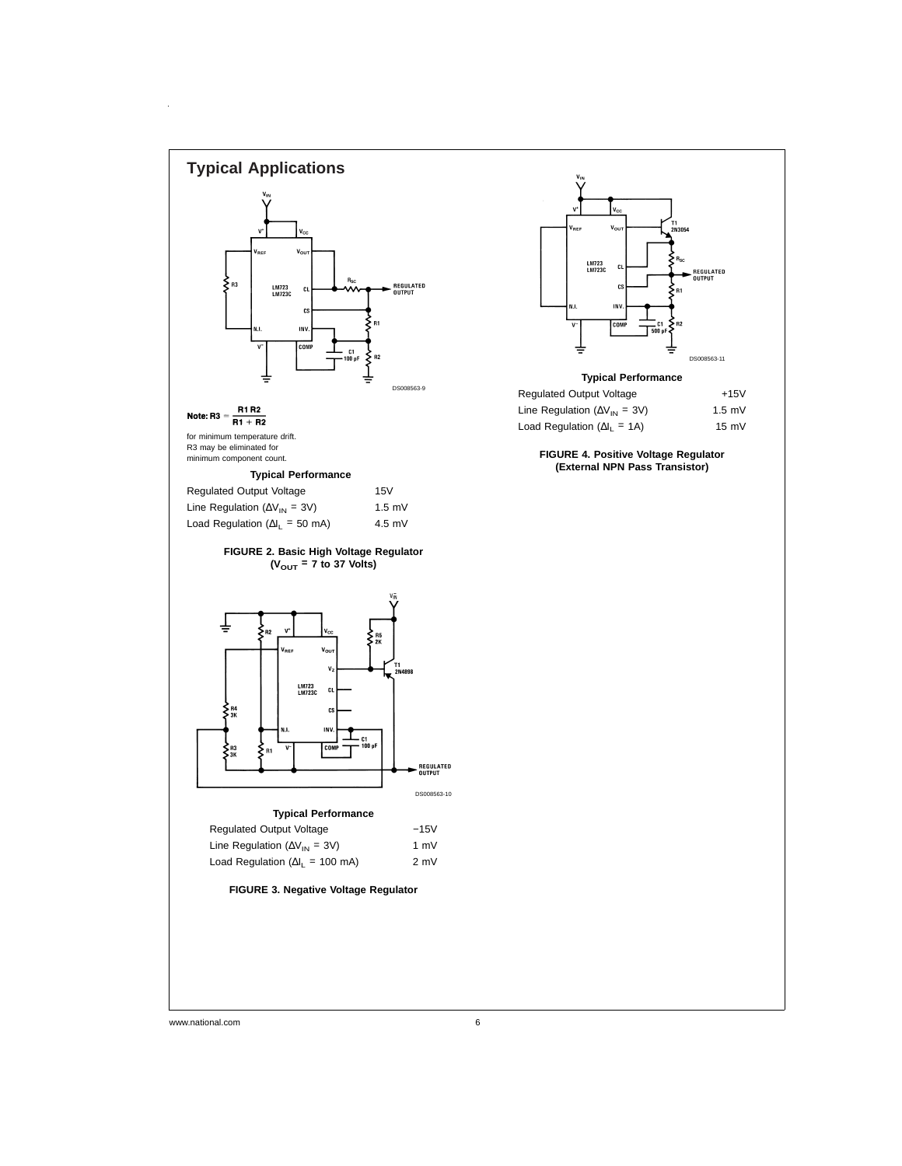

www.national.com 6

 $\bar{z}$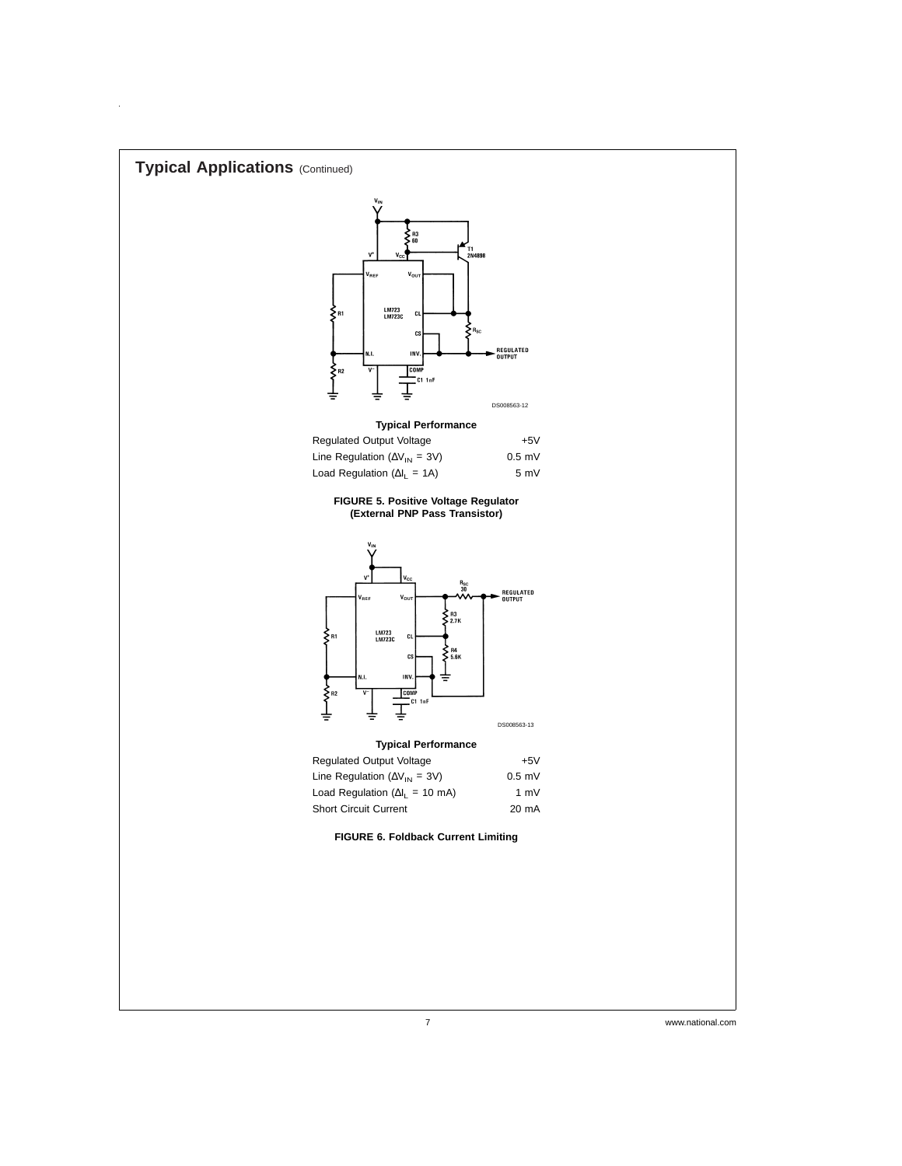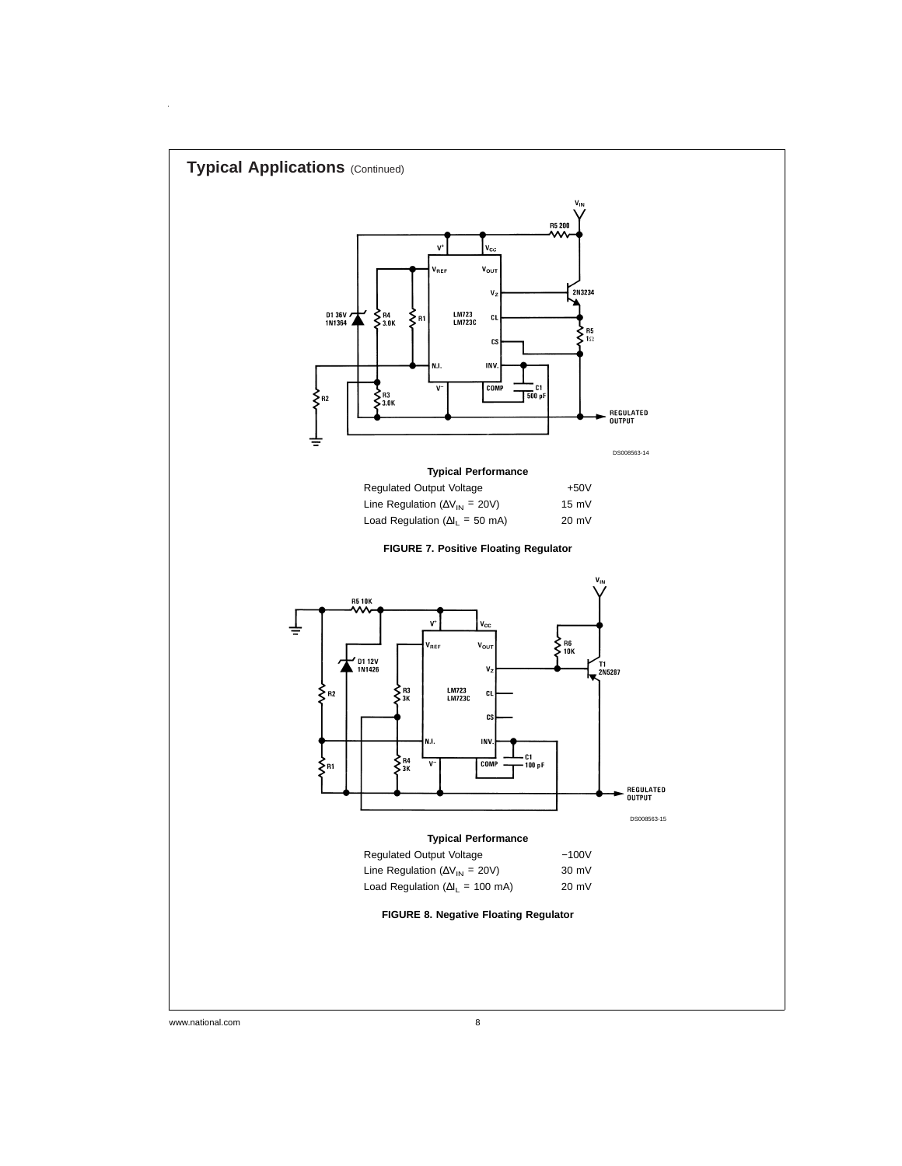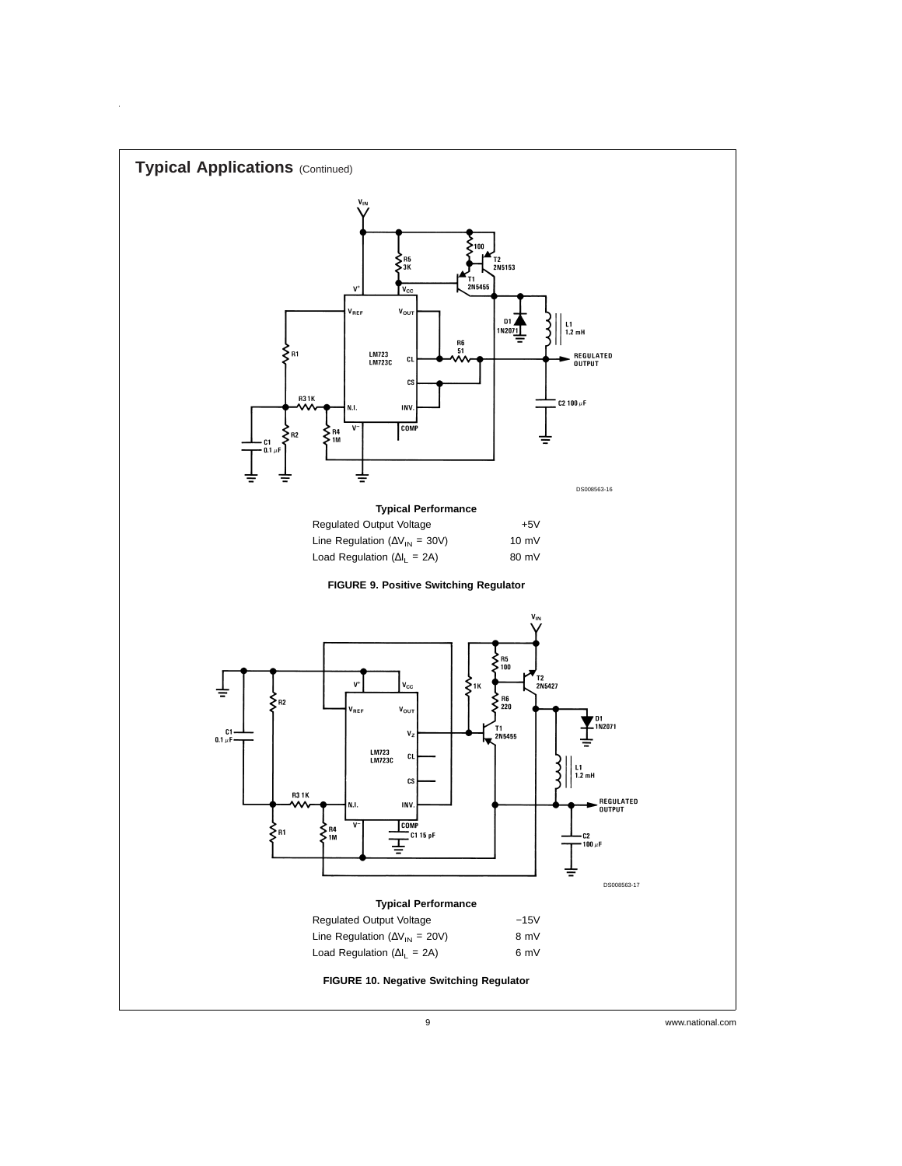

 $\frac{1}{2}$ 

9 www.national.com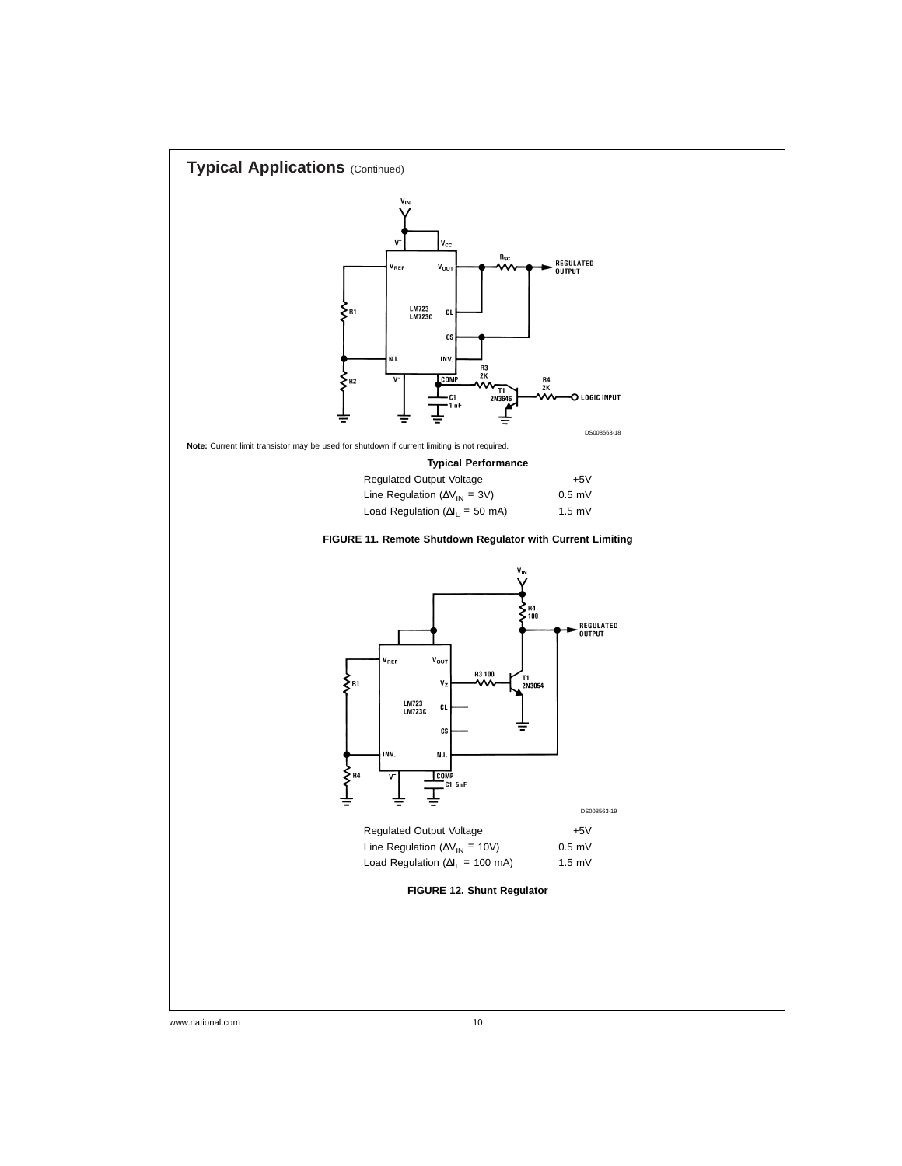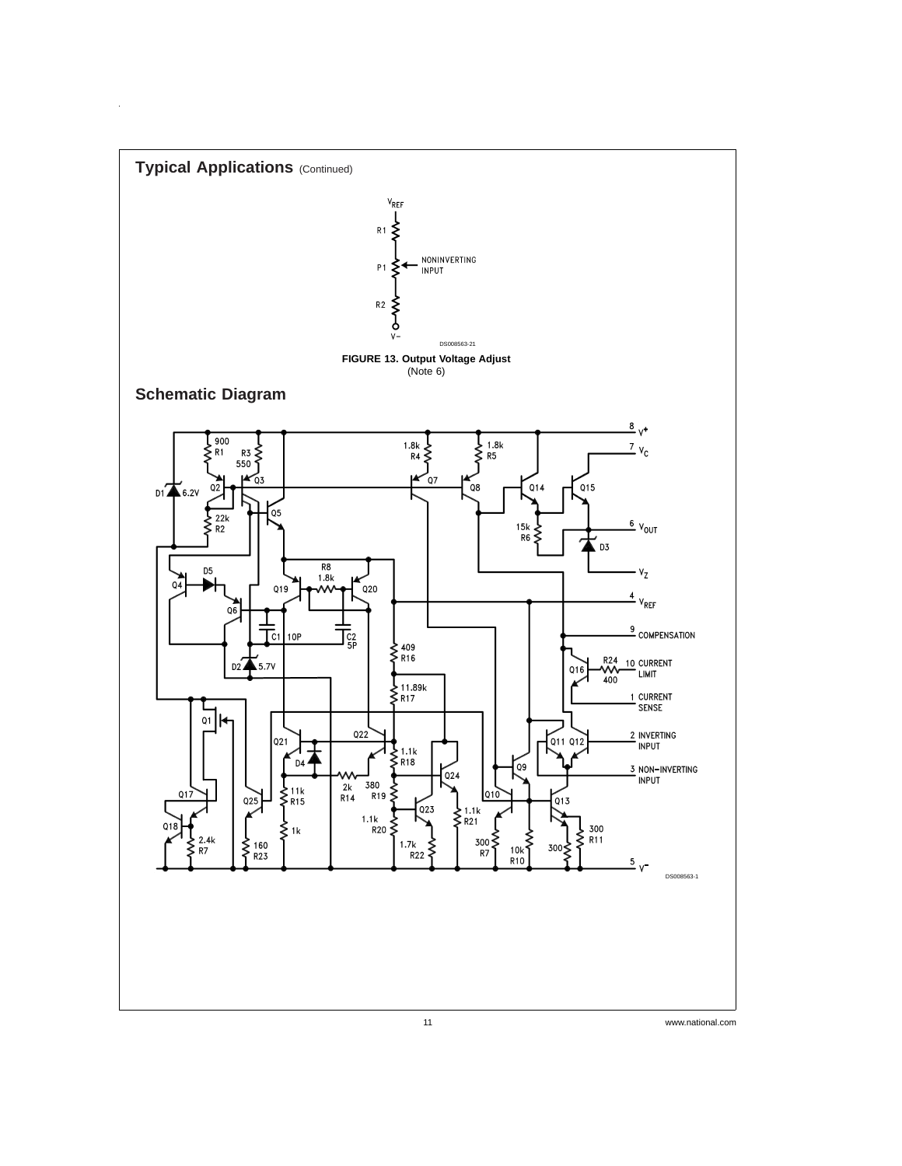

 $\hat{\mathcal{L}}$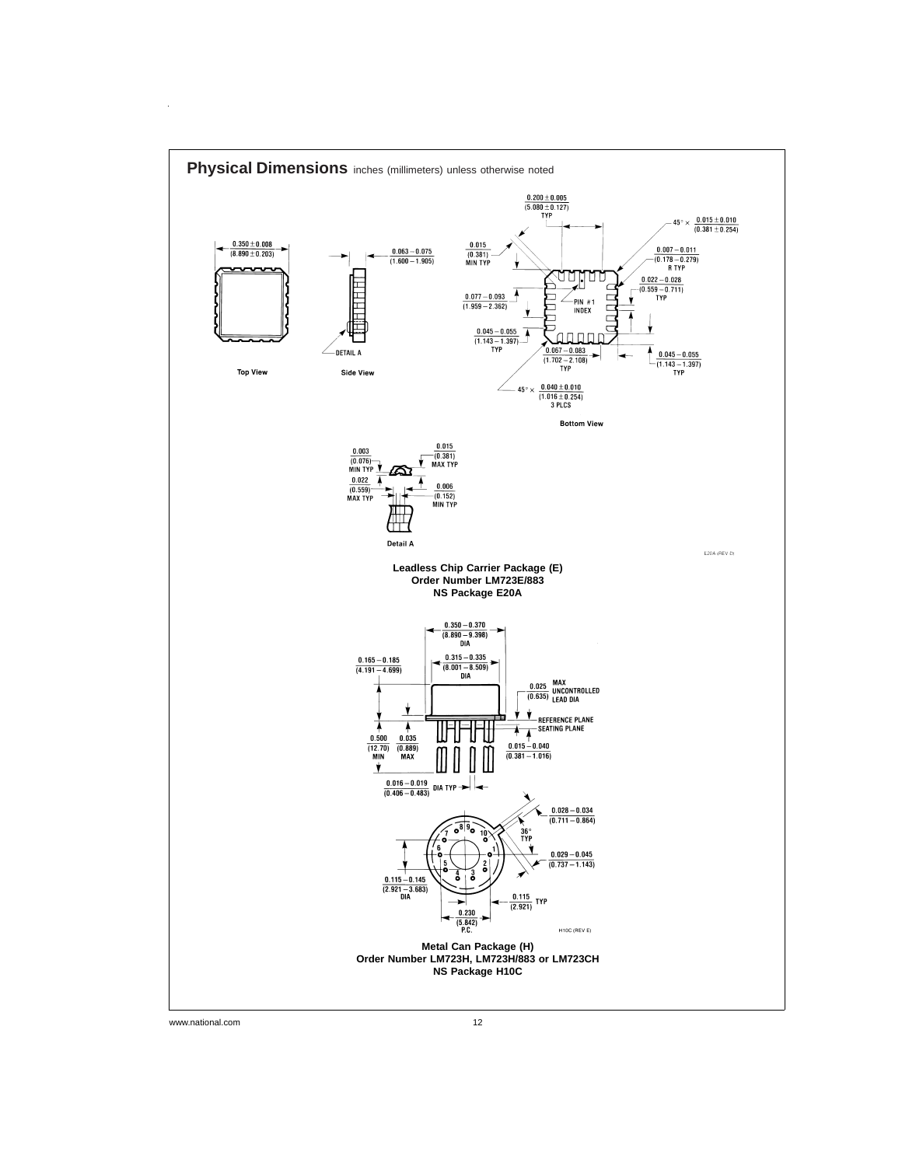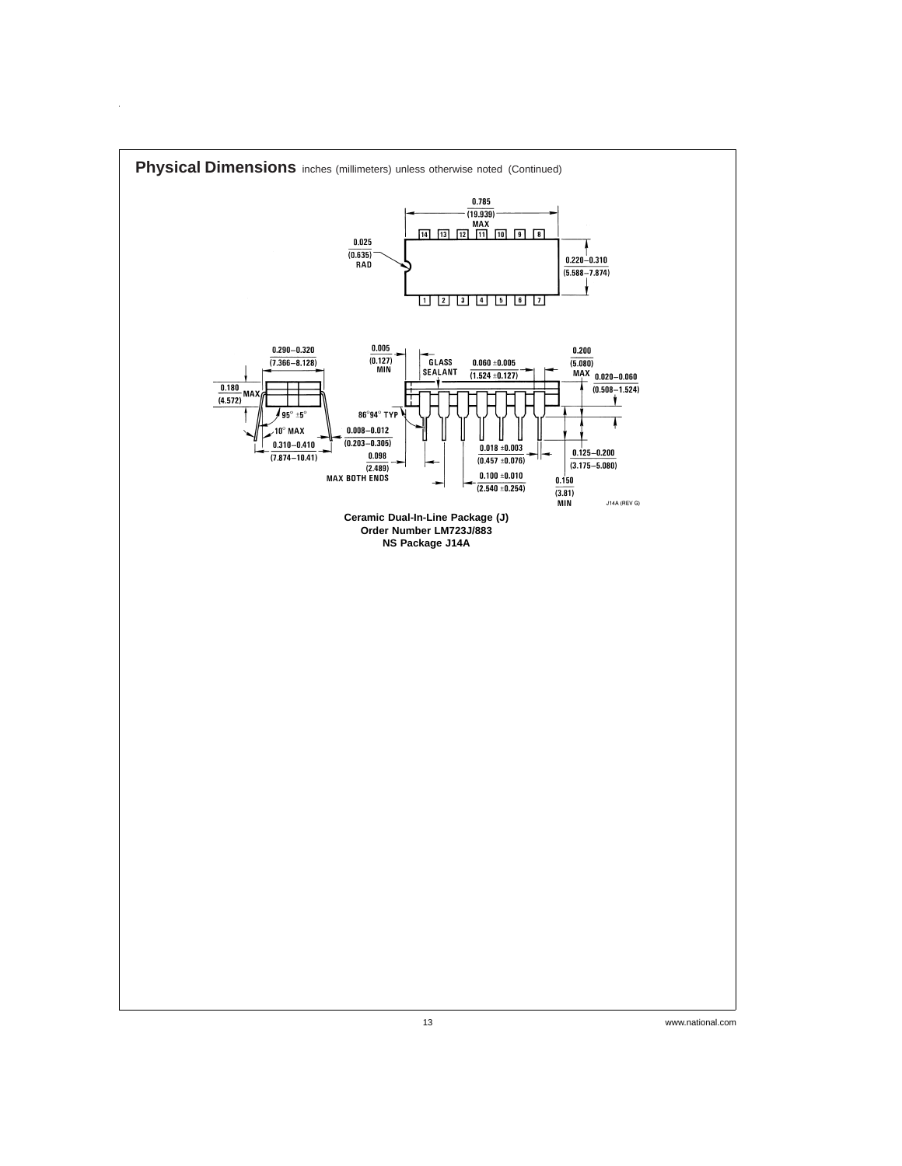